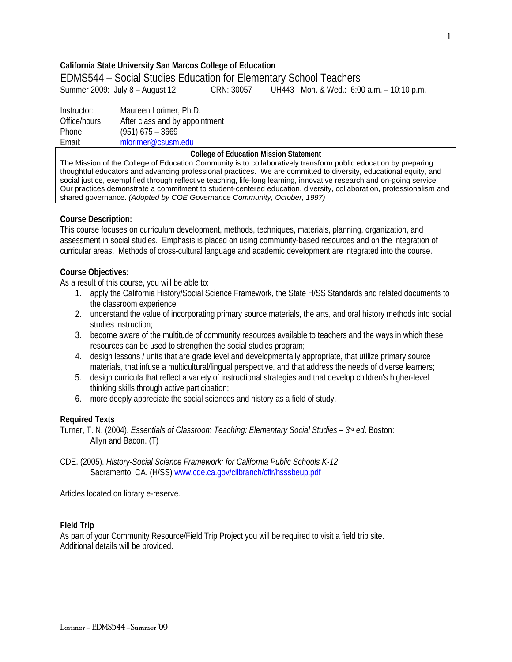## **California State University San Marcos College of Education**

EDMS544 – Social Studies Education for Elementary School Teachers

Summer 2009: July 8 – August 12 CRN: 30057 UH443 Mon. & Wed.: 6:00 a.m. – 10:10 p.m.

Email: Instructor: Maureen Lorimer, Ph.D. Office/hours: After class and by appointment Phone: (951) 675 – 3669 mlorimer@csusm.edu

### **College of Education Mission Statement**

The Mission of the College of Education Community is to collaboratively transform public education by preparing thoughtful educators and advancing professional practices. We are committed to diversity, educational equity, and social justice, exemplified through reflective teaching, life-long learning, innovative research and on-going service. Our practices demonstrate a commitment to student-centered education, diversity, collaboration, professionalism and shared governance. *(Adopted by COE Governance Community, October, 1997)* 

## **Course Description:**

This course focuses on curriculum development, methods, techniques, materials, planning, organization, and assessment in social studies. Emphasis is placed on using community-based resources and on the integration of curricular areas. Methods of cross-cultural language and academic development are integrated into the course.

### **Course Objectives:**

As a result of this course, you will be able to:

- 1. apply the California History/Social Science Framework, the State H/SS Standards and related documents to the classroom experience;
- 2. understand the value of incorporating primary source materials, the arts, and oral history methods into social studies instruction;
- 3. become aware of the multitude of community resources available to teachers and the ways in which these resources can be used to strengthen the social studies program;
- 4. design lessons / units that are grade level and developmentally appropriate, that utilize primary source materials, that infuse a multicultural/lingual perspective, and that address the needs of diverse learners;
- 5. design curricula that reflect a variety of instructional strategies and that develop children's higher-level thinking skills through active participation;
- 6. more deeply appreciate the social sciences and history as a field of study.

## **Required Texts**

Turner, T. N. (2004). *Essentials of Classroom Teaching: Elementary Social Studies – 3rd ed*. Boston: Allyn and Bacon. (T)

Sacramento, CA. (H/SS) www.cde.ca.gov/cilbranch/cfir/hsssbeup.pdf<br>Articles located on library e-reserve. CDE. (2005). *History-Social Science Framework: for California Public Schools K-12*.

## **Field Trip**

As part of your Community Resource/Field Trip Project you will be required to visit a field trip site. Additional details will be provided.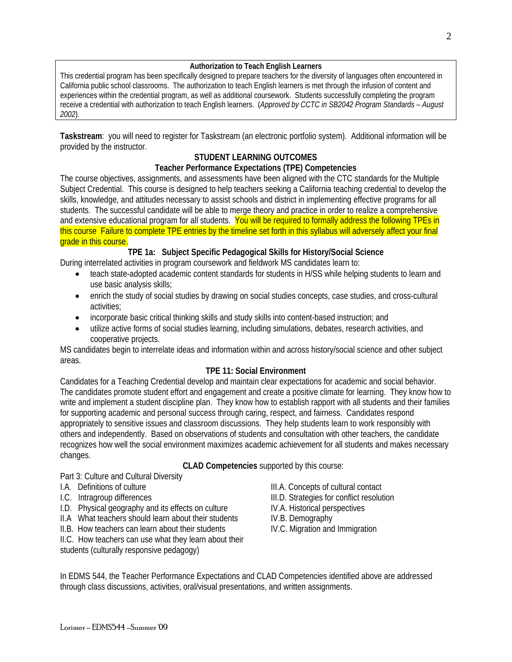## **Authorization to Teach English Learners**

This credential program has been specifically designed to prepare teachers for the diversity of languages often encountered in California public school classrooms. The authorization to teach English learners is met through the infusion of content and experiences within the credential program, as well as additional coursework. Students successfully completing the program receive a credential with authorization to teach English learners. (*Approved by CCTC in SB2042 Program Standards – August 2002*).

**Taskstream**: you will need to register for Taskstream (an electronic portfolio system). Additional information will be provided by the instructor.

## **STUDENT LEARNING OUTCOMES**

## **Teacher Performance Expectations (TPE) Competencies**

 Subject Credential. This course is designed to help teachers seeking a California teaching credential to develop the The course objectives, assignments, and assessments have been aligned with the CTC standards for the Multiple skills, knowledge, and attitudes necessary to assist schools and district in implementing effective programs for all students. The successful candidate will be able to merge theory and practice in order to realize a comprehensive and extensive educational program for all students. You will be required to formally address the following TPEs in this course Failure to complete TPE entries by the timeline set forth in this syllabus will adversely affect your final grade in this course.

## **TPE 1a: Subject Specific Pedagogical Skills for History/Social Science**

During interrelated activities in program coursework and fieldwork MS candidates learn to:

- teach state-adopted academic content standards for students in H/SS while helping students to learn and use basic analysis skills;
- enrich the study of social studies by drawing on social studies concepts, case studies, and cross-cultural activities;
- incorporate basic critical thinking skills and study skills into content-based instruction; and
- utilize active forms of social studies learning, including simulations, debates, research activities, and cooperative projects.

MS candidates begin to interrelate ideas and information within and across history/social science and other subject areas.

## **TPE 11: Social Environment**

Candidates for a Teaching Credential develop and maintain clear expectations for academic and social behavior. The candidates promote student effort and engagement and create a positive climate for learning. They know how to write and implement a student discipline plan. They know how to establish rapport with all students and their families for supporting academic and personal success through caring, respect, and fairness. Candidates respond appropriately to sensitive issues and classroom discussions. They help students learn to work responsibly with others and independently. Based on observations of students and consultation with other teachers, the candidate recognizes how well the social environment maximizes academic achievement for all students and makes necessary changes.

## **CLAD Competencies** supported by this course:

Part 3: Culture and Cultural Diversity

- 
- 
- I.D. Physical geography and its effects on culture IV.A. Historical perspectives
- II.A What teachers should learn about their students IV.B. Demography
- II.B. How teachers can learn about their students IV.C. Migration and Immigration
- II.C. How teachers can use what they learn about their
- students (culturally responsive pedagogy)
- I.A. Definitions of culture III.A. Concepts of cultural contact
- I.C. Intragroup differences III.D. Strategies for conflict resolution
	-
	-
	-

In EDMS 544, the Teacher Performance Expectations and CLAD Competencies identified above are addressed through class discussions, activities, oral/visual presentations, and written assignments.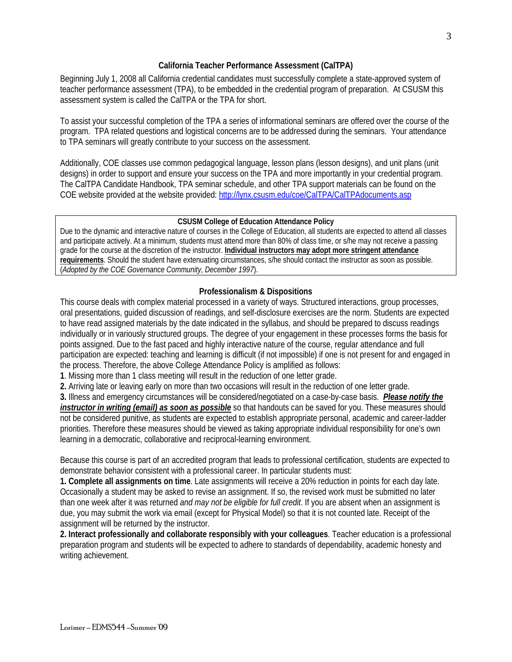## **California Teacher Performance Assessment (CalTPA)**

Beginning July 1, 2008 all California credential candidates must successfully complete a state-approved system of teacher performance assessment (TPA), to be embedded in the credential program of preparation. At CSUSM this assessment system is called the CalTPA or the TPA for short.

To assist your successful completion of the TPA a series of informational seminars are offered over the course of the program. TPA related questions and logistical concerns are to be addressed during the seminars. Your attendance to TPA seminars will greatly contribute to your success on the assessment.

Additionally, COE classes use common pedagogical language, lesson plans (lesson designs), and unit plans (unit designs) in order to support and ensure your success on the TPA and more importantly in your credential program. The CalTPA Candidate Handbook, TPA seminar schedule, and other TPA support materials can be found on the COE website provided at the website provided: http://lynx.csusm.edu/coe/CalTPA/CalTPAdocuments.asp

### **CSUSM College of Education Attendance Policy**

Due to the dynamic and interactive nature of courses in the College of Education, all students are expected to attend all classes and participate actively. At a minimum, students must attend more than 80% of class time, or s/he may not receive a passing grade for the course at the discretion of the instructor. **Individual instructors may adopt more stringent attendance requirements**. Should the student have extenuating circumstances, s/he should contact the instructor as soon as possible. (*Adopted by the COE Governance Community, December 1997*).

## **Professionalism & Dispositions**

 oral presentations, guided discussion of readings, and self-disclosure exercises are the norm. Students are expected This course deals with complex material processed in a variety of ways. Structured interactions, group processes, to have read assigned materials by the date indicated in the syllabus, and should be prepared to discuss readings individually or in variously structured groups. The degree of your engagement in these processes forms the basis for points assigned. Due to the fast paced and highly interactive nature of the course, regular attendance and full participation are expected: teaching and learning is difficult (if not impossible) if one is not present for and engaged in the process. Therefore, the above College Attendance Policy is amplified as follows:

**1**. Missing more than 1 class meeting will result in the reduction of one letter grade.

**2.** Arriving late or leaving early on more than two occasions will result in the reduction of one letter grade.

**3.** Illness and emergency circumstances will be considered/negotiated on a case-by-case basis. *Please notify the instructor in writing (email) as soon as possible* so that handouts can be saved for you. These measures should not be considered punitive, as students are expected to establish appropriate personal, academic and career-ladder priorities. Therefore these measures should be viewed as taking appropriate individual responsibility for one's own learning in a democratic, collaborative and reciprocal-learning environment.

Because this course is part of an accredited program that leads to professional certification, students are expected to demonstrate behavior consistent with a professional career. In particular students must:

**1. Complete all assignments on time**. Late assignments will receive a 20% reduction in points for each day late. Occasionally a student may be asked to revise an assignment. If so, the revised work must be submitted no later than one week after it was returned *and may not be eligible for full credit*. If you are absent when an assignment is due, you may submit the work via email (except for Physical Model) so that it is not counted late. Receipt of the assignment will be returned by the instructor.

**2. Interact professionally and collaborate responsibly with your colleagues**. Teacher education is a professional preparation program and students will be expected to adhere to standards of dependability, academic honesty and writing achievement.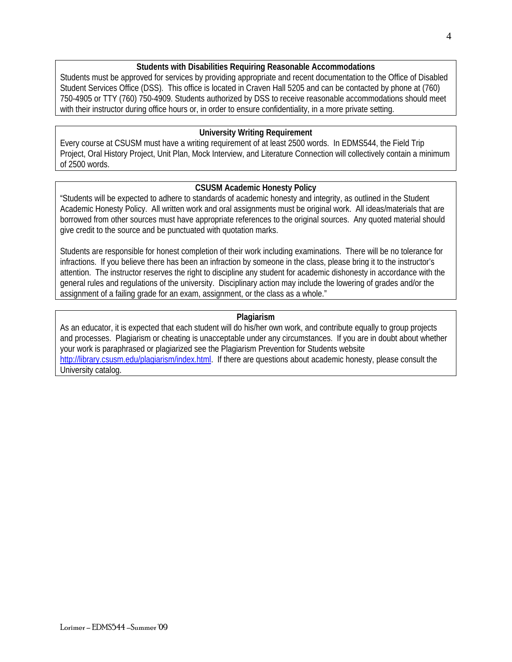## **Students with Disabilities Requiring Reasonable Accommodations**

Students must be approved for services by providing appropriate and recent documentation to the Office of Disabled Student Services Office (DSS). This office is located in Craven Hall 5205 and can be contacted by phone at (760) 750-4905 or TTY (760) 750-4909. Students authorized by DSS to receive reasonable accommodations should meet with their instructor during office hours or, in order to ensure confidentiality, in a more private setting.

## **University Writing Requirement**

Every course at CSUSM must have a writing requirement of at least 2500 words. In EDMS544, the Field Trip Project, Oral History Project, Unit Plan, Mock Interview, and Literature Connection will collectively contain a minimum of 2500 words.

## **CSUSM Academic Honesty Policy**

"Students will be expected to adhere to standards of academic honesty and integrity, as outlined in the Student Academic Honesty Policy. All written work and oral assignments must be original work. All ideas/materials that are borrowed from other sources must have appropriate references to the original sources. Any quoted material should give credit to the source and be punctuated with quotation marks.

Students are responsible for honest completion of their work including examinations. There will be no tolerance for infractions. If you believe there has been an infraction by someone in the class, please bring it to the instructor's attention. The instructor reserves the right to discipline any student for academic dishonesty in accordance with the general rules and regulations of the university. Disciplinary action may include the lowering of grades and/or the assignment of a failing grade for an exam, assignment, or the class as a whole."

## **Plagiarism**

As an educator, it is expected that each student will do his/her own work, and contribute equally to group projects and processes. Plagiarism or cheating is unacceptable under any circumstances. If you are in doubt about whether your work is paraphrased or plagiarized see the Plagiarism Prevention for Students website http://library.csusm.edu/plagiarism/index.html. If there are questions about academic honesty, please consult the University catalog.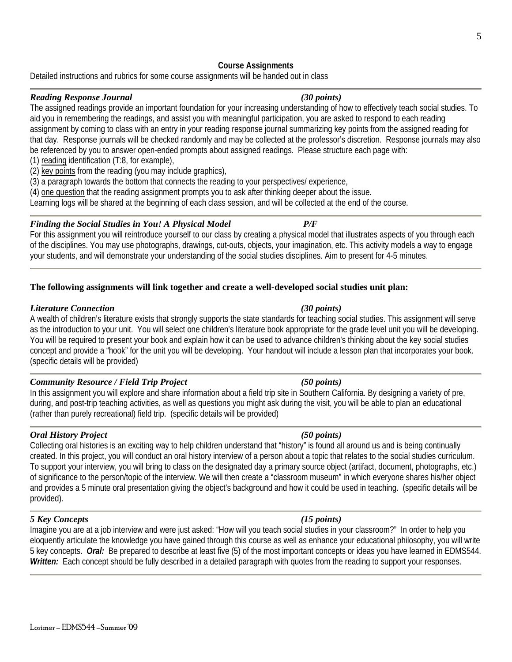Lorimer – EDMS544 –Summer '09

# **Course Assignments**

Detailed instructions and rubrics for some course assignments will be handed out in class

# *Reading Response Journal (30 points)*

The assigned readings provide an important foundation for your increasing understanding of how to effectively teach social studies. To aid you in remembering the readings, and assist you with meaningful participation, you are asked to respond to each reading assignment by coming to class with an entry in your reading response journal summarizing key points from the assigned reading for that day. Response journals will be checked randomly and may be collected at the professor's discretion. Response journals may also be referenced by you to answer open-ended prompts about assigned readings. Please structure each page with:

(1) reading identification (T:8, for example),

(2) key points from the reading (you may include graphics),

(3) a paragraph towards the bottom that connects the reading to your perspectives/ experience,

(4) one question that the reading assignment prompts you to ask after thinking deeper about the issue.

Learning logs will be shared at the beginning of each class session, and will be collected at the end of the course.

# *Finding the Social Studies in You! A Physical Model P/F*

For this assignment you will reintroduce yourself to our class by creating a physical model that illustrates aspects of you through each of the disciplines. You may use photographs, drawings, cut-outs, objects, your imagination, etc. This activity models a way to engage your students, and will demonstrate your understanding of the social studies disciplines. Aim to present for 4-5 minutes.

# **The following assignments will link together and create a well-developed social studies unit plan:**

# *Literature Connection (30 points)*

A wealth of children's literature exists that strongly supports the state standards for teaching social studies. This assignment will serve as the introduction to your unit. You will select one children's literature book appropriate for the grade level unit you will be developing. You will be required to present your book and explain how it can be used to advance children's thinking about the key social studies concept and provide a "hook" for the unit you will be developing. Your handout will include a lesson plan that incorporates your book. (specific details will be provided)

# *Community Resource / Field Trip Project (50 points)*

In this assignment you will explore and share information about a field trip site in Southern California. By designing a variety of pre, during, and post-trip teaching activities, as well as questions you might ask during the visit, you will be able to plan an educational (rather than purely recreational) field trip. (specific details will be provided)

# *Oral History Project (50 points)*

Collecting oral histories is an exciting way to help children understand that "history" is found all around us and is being continually created. In this project, you will conduct an oral history interview of a person about a topic that relates to the social studies curriculum. To support your interview, you will bring to class on the designated day a primary source object (artifact, document, photographs, etc.) of significance to the person/topic of the interview. We will then create a "classroom museum" in which everyone shares his/her object and provides a 5 minute oral presentation giving the object's background and how it could be used in teaching. (specific details will be provided).

## *5 Key Concepts (15 points)*

 eloquently articulate the knowledge you have gained through this course as well as enhance your educational philosophy, you will write 5 key concepts. *Oral:* Be prepared to describe at least five (5) of the most important concepts or ideas you have learned in EDMS544. Imagine you are at a job interview and were just asked: "How will you teach social studies in your classroom?" In order to help you *Written:* Each concept should be fully described in a detailed paragraph with quotes from the reading to support your responses.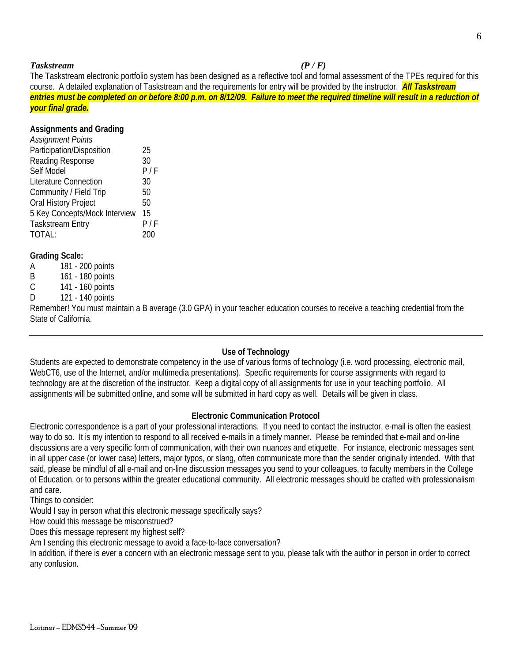## *Taskstream (P / F)*

 *your final grade.* The Taskstream electronic portfolio system has been designed as a reflective tool and formal assessment of the TPEs required for this course. A detailed explanation of Taskstream and the requirements for entry will be provided by the instructor. *All Taskstream entries must be completed on or before 8:00 p.m. on 8/12/09. Failure to meet the required timeline will result in a reduction of* 

## **Assignments and Grading**

| 25  |
|-----|
| 30  |
| P/F |
| 30  |
| 50  |
| 50  |
| 15  |
| P/F |
|     |
|     |

## **Grading Scale:**

| A | 181 - 200 points |
|---|------------------|
| B | 161 - 180 points |
| C | 141 - 160 points |

- 
- 121 140 points

D 121 - 140 points<br>Remember! You must maintain a B average (3.0 GPA) in your teacher education courses to receive a teaching credential from the State of California.

## **Use of Technology**

 Students are expected to demonstrate competency in the use of various forms of technology (i.e. word processing, electronic mail, WebCT6, use of the Internet, and/or multimedia presentations). Specific requirements for course assignments with regard to technology are at the discretion of the instructor. Keep a digital copy of all assignments for use in your teaching portfolio. All assignments will be submitted online, and some will be submitted in hard copy as well. Details will be given in class.

## **Electronic Communication Protocol**

Electronic correspondence is a part of your professional interactions. If you need to contact the instructor, e-mail is often the easiest way to do so. It is my intention to respond to all received e-mails in a timely manner. Please be reminded that e-mail and on-line discussions are a very specific form of communication, with their own nuances and etiquette. For instance, electronic messages sent in all upper case (or lower case) letters, major typos, or slang, often communicate more than the sender originally intended. With that said, please be mindful of all e-mail and on-line discussion messages you send to your colleagues, to faculty members in the College of Education, or to persons within the greater educational community. All electronic messages should be crafted with professionalism and care.

Things to consider:

Would I say in person what this electronic message specifically says?

How could this message be misconstrued?

Does this message represent my highest self?

Am I sending this electronic message to avoid a face-to-face conversation?

In addition, if there is ever a concern with an electronic message sent to you, please talk with the author in person in order to correct any confusion.